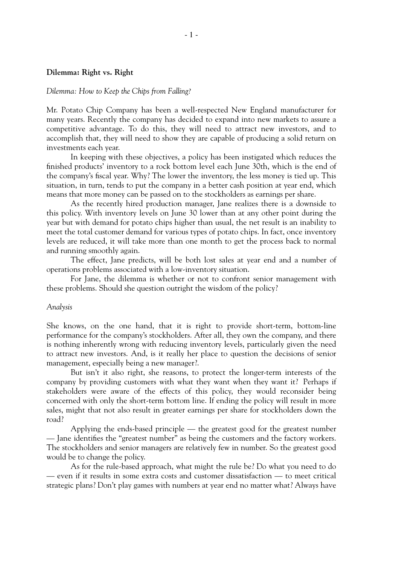## **Dilemma: Right vs. Right**

## *Dilemma: How to Keep the Chips from Falling?*

Mr. Potato Chip Company has been a well-respected New England manufacturer for many years. Recently the company has decided to expand into new markets to assure a competitive advantage. To do this, they will need to attract new investors, and to accomplish that, they will need to show they are capable of producing a solid return on investments each year.

In keeping with these objectives, a policy has been instigated which reduces the finished products' inventory to a rock bottom level each June 30th, which is the end of the company's fiscal year. Why? The lower the inventory, the less money is tied up. This situation, in turn, tends to put the company in a better cash position at year end, which means that more money can be passed on to the stockholders as earnings per share.

As the recently hired production manager, Jane realizes there is a downside to this policy. With inventory levels on June 30 lower than at any other point during the year but with demand for potato chips higher than usual, the net result is an inability to meet the total customer demand for various types of potato chips. In fact, once inventory levels are reduced, it will take more than one month to get the process back to normal and running smoothly again.

The effect, Jane predicts, will be both lost sales at year end and a number of operations problems associated with a low-inventory situation.

For Jane, the dilemma is whether or not to confront senior management with these problems. Should she question outright the wisdom of the policy?

### *Analysis*

She knows, on the one hand, that it is right to provide short-term, bottom-line performance for the company's stockholders. After all, they own the company, and there is nothing inherently wrong with reducing inventory levels, particularly given the need to attract new investors. And, is it really her place to question the decisions of senior management, especially being a new manager?.

But isn't it also right, she reasons, to protect the longer-term interests of the company by providing customers with what they want when they want it? Perhaps if stakeholders were aware of the effects of this policy, they would reconsider being concerned with only the short-term bottom line. If ending the policy will result in more sales, might that not also result in greater earnings per share for stockholders down the road?

Applying the ends-based principle — the greatest good for the greatest number — Jane identifies the "greatest number" as being the customers and the factory workers. The stockholders and senior managers are relatively few in number. So the greatest good would be to change the policy.

As for the rule-based approach, what might the rule be? Do what you need to do — even if it results in some extra costs and customer dissatisfaction — to meet critical strategic plans? Don't play games with numbers at year end no matter what? Always have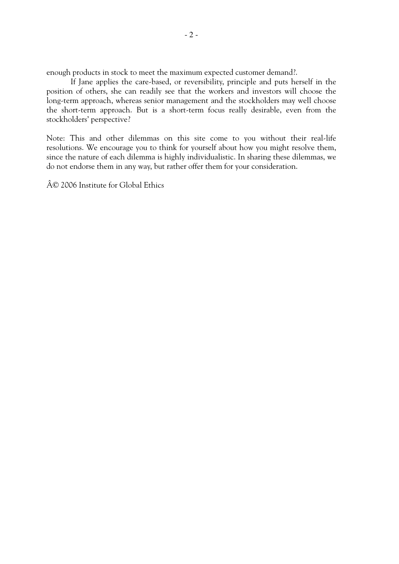enough products in stock to meet the maximum expected customer demand?.

If Jane applies the care-based, or reversibility, principle and puts herself in the position of others, she can readily see that the workers and investors will choose the long-term approach, whereas senior management and the stockholders may well choose the short-term approach. But is a short-term focus really desirable, even from the stockholders' perspective?

Note: This and other dilemmas on this site come to you without their real-life resolutions. We encourage you to think for yourself about how you might resolve them, since the nature of each dilemma is highly individualistic. In sharing these dilemmas, we do not endorse them in any way, but rather offer them for your consideration.

© 2006 Institute for Global Ethics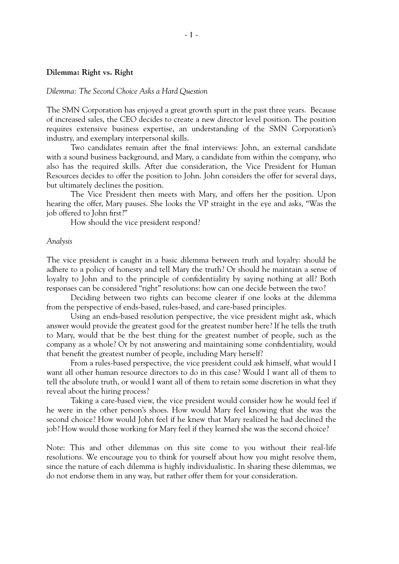# **Dilemma: Right vs. Right**

#### *Dilemma: The Second Choice Asks a Hard Question*

The SMN Corporation has enjoyed a great growth spurt in the past three years. Because of increased sales, the CEO decides to create a new director level position. The position requires extensive business expertise, an understanding of the SMN Corporation's industry, and exemplary interpersonal skills.

Two candidates remain after the final interviews: John, an external candidate with a sound business background, and Mary, a candidate from within the company, who also has the required skills. After due consideration, the Vice President for Human Resources decides to offer the position to John. John considers the offer for several days, but ultimately declines the position.

The Vice President then meets with Mary, and offers her the position. Upon hearing the offer, Mary pauses. She looks the VP straight in the eye and asks, "Was the job offered to John first?"

How should the vice president respond?

#### *Analysis*

The vice president is caught in a basic dilemma between truth and loyalty: should he adhere to a policy of honesty and tell Mary the truth? Or should he maintain a sense of loyalty to John and to the principle of confidentiality by saying nothing at all? Both responses can be considered "right" resolutions: how can one decide between the two?

Deciding between two rights can become clearer if one looks at the dilemma from the perspective of ends-based, rules-based, and care-based principles.

Using an ends-based resolution perspective, the vice president might ask, which answer would provide the greatest good for the greatest number here? If he tells the truth to Mary, would that be the best thing for the greatest number of people, such as the company as a whole? Or by not answering and maintaining some confidentiality, would that benefit the greatest number of people, including Mary herself?

From a rules-based perspective, the vice president could ask himself, what would I want all other human resource directors to do in this case? Would I want all of them to tell the absolute truth, or would I want all of them to retain some discretion in what they reveal about the hiring process?

Taking a care-based view, the vice president would consider how he would feel if he were in the other person's shoes. How would Mary feel knowing that she was the second choice? How would John feel if he knew that Mary realized he had declined the job? How would those working for Mary feel if they learned she was the second choice?

Note: This and other dilemmas on this site come to you without their real-life resolutions. We encourage you to think for yourself about how you might resolve them, since the nature of each dilemma is highly individualistic. In sharing these dilemmas, we do not endorse them in any way, but rather offer them for your consideration.